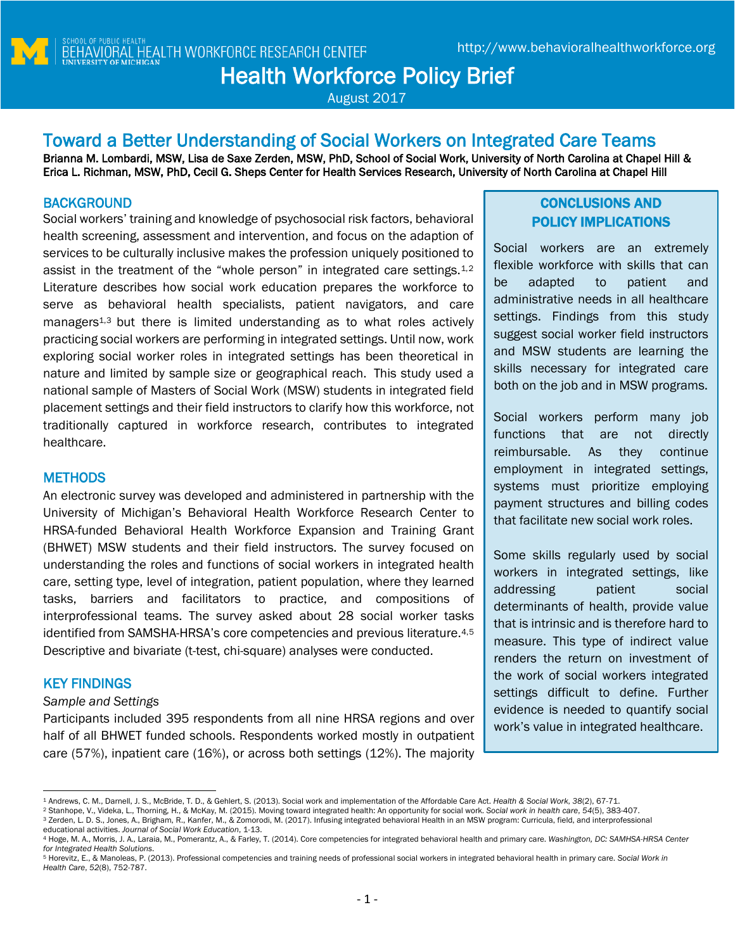# **Toward a Better Understanding of Social Workers on Integrated Care Teams**

Brianna M. Lombardi, MSW, Lisa de Saxe Zerden, MSW, PhD, School of Social Work, University of North Carolina at Chapel Hill & Erica L. Richman, MSW, PhD, Cecil G. Sheps Center for Health Services Research, University of North Carolina at Chapel Hill

# **BACKGROUND**

Social workers' training and knowledge of psychosocial risk factors, behavioral health screening, assessment and intervention, and focus on the adaption of services to be culturally inclusive makes the profession uniquely positioned to assist in the treatment of the "whole person" in integrated care settings.[1](#page-0-0),[2](#page-0-1) Literature describes how social work education prepares the workforce to serve as behavioral health specialists, patient navigators, and care managers<sup>1,[3](#page-0-2)</sup> but there is limited understanding as to what roles actively practicing social workers are performing in integrated settings. Until now, work exploring social worker roles in integrated settings has been theoretical in nature and limited by sample size or geographical reach. This study used a national sample of Masters of Social Work (MSW) students in integrated field placement settings and their field instructors to clarify how this workforce, not traditionally captured in workforce research, contributes to integrated healthcare.

## **METHODS**

An electronic survey was developed and administered in partnership with the University of Michigan's Behavioral Health Workforce Research Center to HRSA-funded Behavioral Health Workforce Expansion and Training Grant (BHWET) MSW students and their field instructors. The survey focused on understanding the roles and functions of social workers in integrated health care, setting type, level of integration, patient population, where they learned tasks, barriers and facilitators to practice, and compositions of interprofessional teams. The survey asked about 28 social worker tasks identified from SAMSHA-HRSA's core competencies and previous literature.[4,](#page-0-3)[5](#page-0-4) Descriptive and bivariate (t-test, chi-square) analyses were conducted.

# KEY FINDINGS

#### *Sample and Settings*

Participants included 395 respondents from all nine HRSA regions and over half of all BHWET funded schools. Respondents worked mostly in outpatient care (57%), inpatient care (16%), or across both settings (12%). The majority

# CONCLUSIONS AND POLICY IMPLICATIONS

Social workers are an extremely flexible workforce with skills that can be adapted to patient and administrative needs in all healthcare settings. Findings from this study suggest social worker field instructors and MSW students are learning the skills necessary for integrated care both on the job and in MSW programs.

Social workers perform many job functions that are not directly reimbursable. As they continue employment in integrated settings, systems must prioritize employing payment structures and billing codes that facilitate new social work roles.

Some skills regularly used by social workers in integrated settings, like addressing patient social determinants of health, provide value that is intrinsic and is therefore hard to measure. This type of indirect value renders the return on investment of the work of social workers integrated settings difficult to define. Further evidence is needed to quantify social work's value in integrated healthcare.

<span id="page-0-2"></span><span id="page-0-1"></span><span id="page-0-0"></span><sup>2</sup> Stanhope, V., Videka, L., Thorning, H., & McKay, M. (2015). Moving toward integrated health: An opportunity for social work. *Social work in health care*, *54*(5), 383-407. 3 Zerden, L. D. S., Jones, A., Brigham, R., Kanfer, M., & Zomorodi, M. (2017). Infusing integrated behavioral Health in an MSW program: Curricula, field, and interprofessional educational activities. *Journal of Social Work Education*, 1-13.

 $\overline{\phantom{a}}$ <sup>1</sup> Andrews, C. M., Darnell, J. S., McBride, T. D., & Gehlert, S. (2013). Social work and implementation of the Affordable Care Act. *Health & Social Work*, *38*(2), 67-71.

<span id="page-0-3"></span><sup>4</sup> Hoge, M. A., Morris, J. A., Laraia, M., Pomerantz, A., & Farley, T. (2014). Core competencies for integrated behavioral health and primary care. *Washington, DC: SAMHSA-HRSA Center for Integrated Health Solutions*.

<span id="page-0-4"></span><sup>5</sup> Horevitz, E., & Manoleas, P. (2013). Professional competencies and training needs of professional social workers in integrated behavioral health in primary care. *Social Work in Health Care*, *52*(8), 752-787.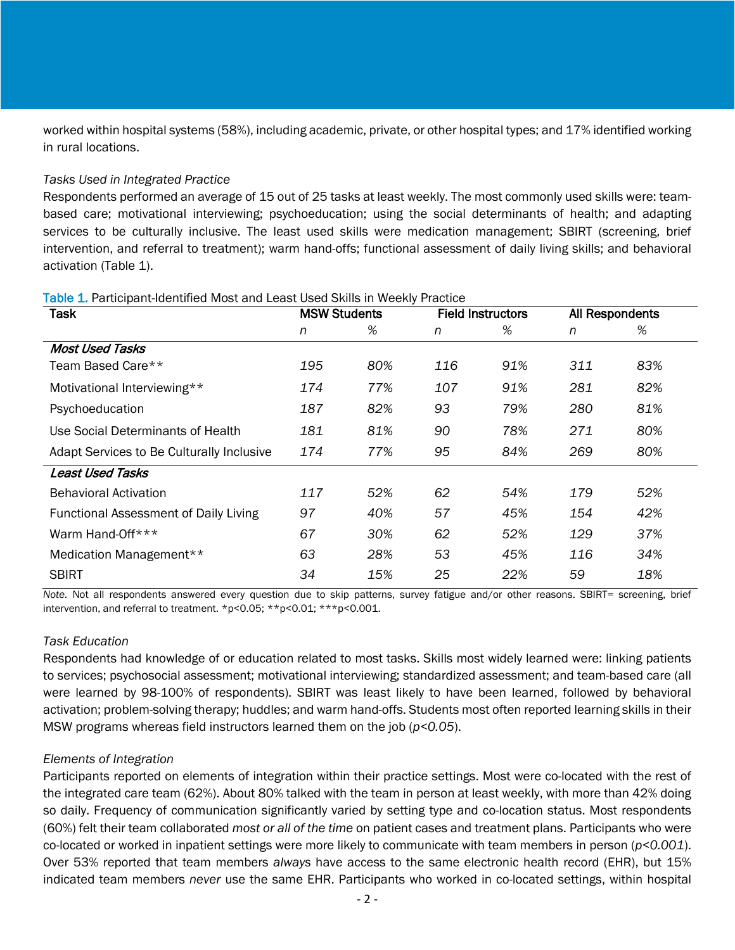worked within hospital systems (58%), including academic, private, or other hospital types; and 17% identified working in rural locations.

#### *Tasks Used in Integrated Practice*

Respondents performed an average of 15 out of 25 tasks at least weekly. The most commonly used skills were: teambased care; motivational interviewing; psychoeducation; using the social determinants of health; and adapting services to be culturally inclusive. The least used skills were medication management; SBIRT (screening, brief intervention, and referral to treatment); warm hand-offs; functional assessment of daily living skills; and behavioral activation (Table 1).

| <b>Task</b>                                  | <b>MSW Students</b> |     | <b>Field Instructors</b> |     | All Respondents |     |
|----------------------------------------------|---------------------|-----|--------------------------|-----|-----------------|-----|
|                                              | n                   | %   | n                        | %   | n               | %   |
| <b>Most Used Tasks</b>                       |                     |     |                          |     |                 |     |
| Team Based Care**                            | 195                 | 80% | 116                      | 91% | 311             | 83% |
| Motivational Interviewing**                  | 174                 | 77% | 107                      | 91% | 281             | 82% |
| Psychoeducation                              | 187                 | 82% | 93                       | 79% | 280             | 81% |
| Use Social Determinants of Health            | 181                 | 81% | 90                       | 78% | 271             | 80% |
| Adapt Services to Be Culturally Inclusive    | 174                 | 77% | 95                       | 84% | 269             | 80% |
| <b>Least Used Tasks</b>                      |                     |     |                          |     |                 |     |
| <b>Behavioral Activation</b>                 | 117                 | 52% | 62                       | 54% | 179             | 52% |
| <b>Functional Assessment of Daily Living</b> | 97                  | 40% | 57                       | 45% | 154             | 42% |
| Warm Hand-Off***                             | 67                  | 30% | 62                       | 52% | 129             | 37% |
| Medication Management**                      | 63                  | 28% | 53                       | 45% | 116             | 34% |
| <b>SBIRT</b>                                 | 34                  | 15% | 25                       | 22% | 59              | 18% |

#### Table 1. Participant-Identified Most and Least Used Skills in Weekly Practice

*Note.* Not all respondents answered every question due to skip patterns, survey fatigue and/or other reasons. SBIRT= screening, brief intervention, and referral to treatment. \*p<0.05; \*\*p<0.01; \*\*\*p<0.001.

### *Task Education*

Respondents had knowledge of or education related to most tasks. Skills most widely learned were: linking patients to services; psychosocial assessment; motivational interviewing; standardized assessment; and team-based care (all were learned by 98-100% of respondents). SBIRT was least likely to have been learned, followed by behavioral activation; problem-solving therapy; huddles; and warm hand-offs. Students most often reported learning skills in their MSW programs whereas field instructors learned them on the job (*p<0.05*).

### *Elements of Integration*

Participants reported on elements of integration within their practice settings. Most were co-located with the rest of the integrated care team (62%). About 80% talked with the team in person at least weekly, with more than 42% doing so daily. Frequency of communication significantly varied by setting type and co-location status. Most respondents (60%) felt their team collaborated *most or all of the time* on patient cases and treatment plans. Participants who were co-located or worked in inpatient settings were more likely to communicate with team members in person (*p<0.001*). Over 53% reported that team members *always* have access to the same electronic health record (EHR), but 15% indicated team members *never* use the same EHR. Participants who worked in co-located settings, within hospital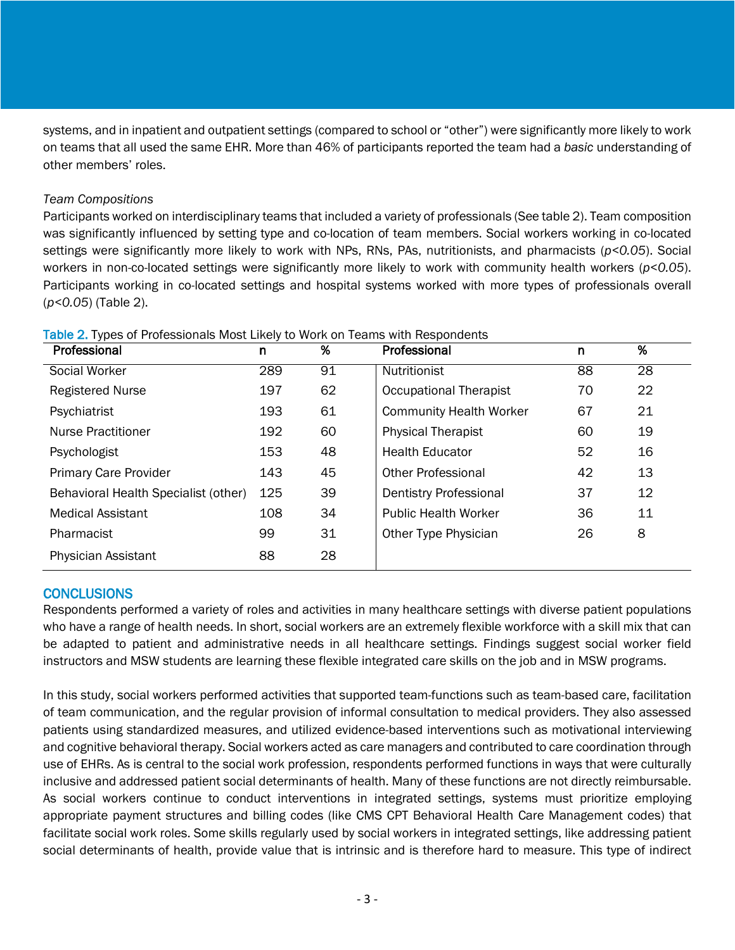systems, and in inpatient and outpatient settings (compared to school or "other") were significantly more likely to work on teams that all used the same EHR. More than 46% of participants reported the team had a *basic* understanding of other members' roles.

### *Team Compositions*

Participants worked on interdisciplinary teams that included a variety of professionals (See table 2). Team composition was significantly influenced by setting type and co-location of team members. Social workers working in co-located settings were significantly more likely to work with NPs, RNs, PAs, nutritionists, and pharmacists (*p<0.05*). Social workers in non-co-located settings were significantly more likely to work with community health workers (*p<0.05*). Participants working in co-located settings and hospital systems worked with more types of professionals overall (*p<0.05*) (Table 2).

| Professional                         | n   | %  | Professional                   | n  | %  |
|--------------------------------------|-----|----|--------------------------------|----|----|
| Social Worker                        | 289 | 91 | Nutritionist                   | 88 | 28 |
| <b>Registered Nurse</b>              | 197 | 62 | <b>Occupational Therapist</b>  | 70 | 22 |
| Psychiatrist                         | 193 | 61 | <b>Community Health Worker</b> | 67 | 21 |
| <b>Nurse Practitioner</b>            | 192 | 60 | <b>Physical Therapist</b>      | 60 | 19 |
| Psychologist                         | 153 | 48 | <b>Health Educator</b>         | 52 | 16 |
| <b>Primary Care Provider</b>         | 143 | 45 | <b>Other Professional</b>      | 42 | 13 |
| Behavioral Health Specialist (other) | 125 | 39 | <b>Dentistry Professional</b>  | 37 | 12 |
| <b>Medical Assistant</b>             | 108 | 34 | <b>Public Health Worker</b>    | 36 | 11 |
| Pharmacist                           | 99  | 31 | Other Type Physician           | 26 | 8  |
| <b>Physician Assistant</b>           | 88  | 28 |                                |    |    |

Table 2. Types of Professionals Most Likely to Work on Teams with Respondents

### **CONCLUSIONS**

Respondents performed a variety of roles and activities in many healthcare settings with diverse patient populations who have a range of health needs. In short, social workers are an extremely flexible workforce with a skill mix that can be adapted to patient and administrative needs in all healthcare settings. Findings suggest social worker field instructors and MSW students are learning these flexible integrated care skills on the job and in MSW programs.

In this study, social workers performed activities that supported team-functions such as team-based care, facilitation of team communication, and the regular provision of informal consultation to medical providers. They also assessed patients using standardized measures, and utilized evidence-based interventions such as motivational interviewing and cognitive behavioral therapy. Social workers acted as care managers and contributed to care coordination through use of EHRs. As is central to the social work profession, respondents performed functions in ways that were culturally inclusive and addressed patient social determinants of health. Many of these functions are not directly reimbursable. As social workers continue to conduct interventions in integrated settings, systems must prioritize employing appropriate payment structures and billing codes (like CMS CPT Behavioral Health Care Management codes) that facilitate social work roles. Some skills regularly used by social workers in integrated settings, like addressing patient social determinants of health, provide value that is intrinsic and is therefore hard to measure. This type of indirect